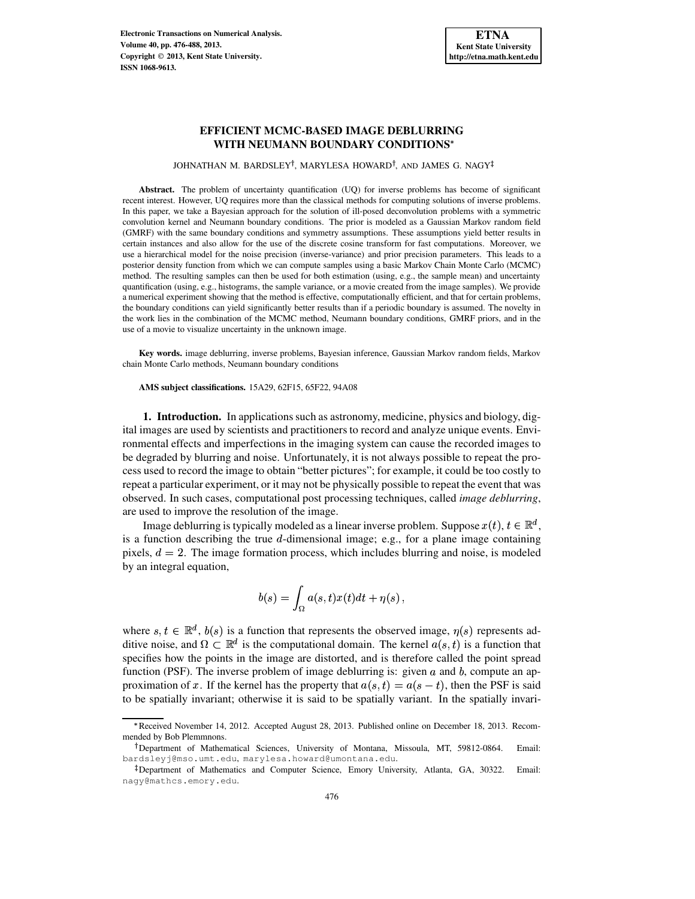# **EFFICIENT MCMC-BASED IMAGE DEBLURRING WITH NEUMANN BOUNDARY CONDITIONS**

JOHNATHAN M. BARDSLEY<sup>†</sup>, MARYLESA HOWARD<sup>†</sup>, AND JAMES G. NAGY

**Abstract.** The problem of uncertainty quantification (UQ) for inverse problems has become of significant recent interest. However, UQ requires more than the classical methods for computing solutions of inverse problems. In this paper, we take a Bayesian approach for the solution of ill-posed deconvolution problems with a symmetric convolution kernel and Neumann boundary conditions. The prior is modeled as a Gaussian Markov random field (GMRF) with the same boundary conditions and symmetry assumptions. These assumptions yield better results in certain instances and also allow for the use of the discrete cosine transform for fast computations. Moreover, we use a hierarchical model for the noise precision (inverse-variance) and prior precision parameters. This leads to a posterior density function from which we can compute samples using a basic Markov Chain Monte Carlo (MCMC) method. The resulting samples can then be used for both estimation (using, e.g., the sample mean) and uncertainty quantification (using, e.g., histograms, the sample variance, or a movie created from the image samples). We provide a numerical experiment showing that the method is effective, computationally efficient, and that for certain problems, the boundary conditions can yield significantly better results than if a periodic boundary is assumed. The novelty in the work lies in the combination of the MCMC method, Neumann boundary conditions, GMRF priors, and in the use of a movie to visualize uncertainty in the unknown image.

**Key words.** image deblurring, inverse problems, Bayesian inference, Gaussian Markov random fields, Markov chain Monte Carlo methods, Neumann boundary conditions

**AMS subject classifications.** 15A29, 62F15, 65F22, 94A08

**1. Introduction.** In applications such as astronomy, medicine, physics and biology, digital images are used by scientists and practitioners to record and analyze unique events. Environmental effects and imperfections in the imaging system can cause the recorded images to be degraded by blurring and noise. Unfortunately, it is not always possible to repeat the process used to record the image to obtain "better pictures"; for example, it could be too costly to repeat a particular experiment, or it may not be physically possible to repeat the event that was observed. In such cases, computational post processing techniques, called *image deblurring*, are used to improve the resolution of the image.

Image deblurring is typically modeled as a linear inverse problem. Suppose  $x(t)$ ,  $t \in \mathbb{R}^d$ , is a function describing the true  $d$ -dimensional image; e.g., for a plane image containing pixels,  $d = 2$ . The image formation process, which includes blurring and noise, is modeled by an integral equation,

$$
b(s)=\int_{\Omega}a(s,t)x(t)dt+\eta(s)\,,
$$

where  $s, t \in \mathbb{R}^d$ ,  $b(s)$  is a function that represents the observed image,  $\eta(s)$  represents additive noise, and  $\Omega \subset \mathbb{R}^d$  is the computational domain. The kernel  $a(s, t)$  is a function that specifies how the points in the image are distorted, and is therefore called the point spread function (PSF). The inverse problem of image deblurring is: given  $a$  and  $b$ , compute an approximation of x. If the kernel has the property that  $a(s, t) = a(s - t)$ , then the PSF is said to be spatially invariant; otherwise it is said to be spatially variant. In the spatially invari-

<sup>/</sup> Received November 14, 2012. Accepted August 28, 2013. Published online on December 18, 2013. Recommended by Bob Plemmnons.

<sup>&</sup>lt;sup>†</sup>Department of Mathematical Sciences, University of Montana, Missoula, MT, 59812-0864. Email: bardsleyj@mso.umt.edu, marylesa.howard@umontana.edu.

<sup>-</sup> Department of Mathematics and Computer Science, Emory University, Atlanta, GA, 30322. Email: nagy@mathcs.emory.edu.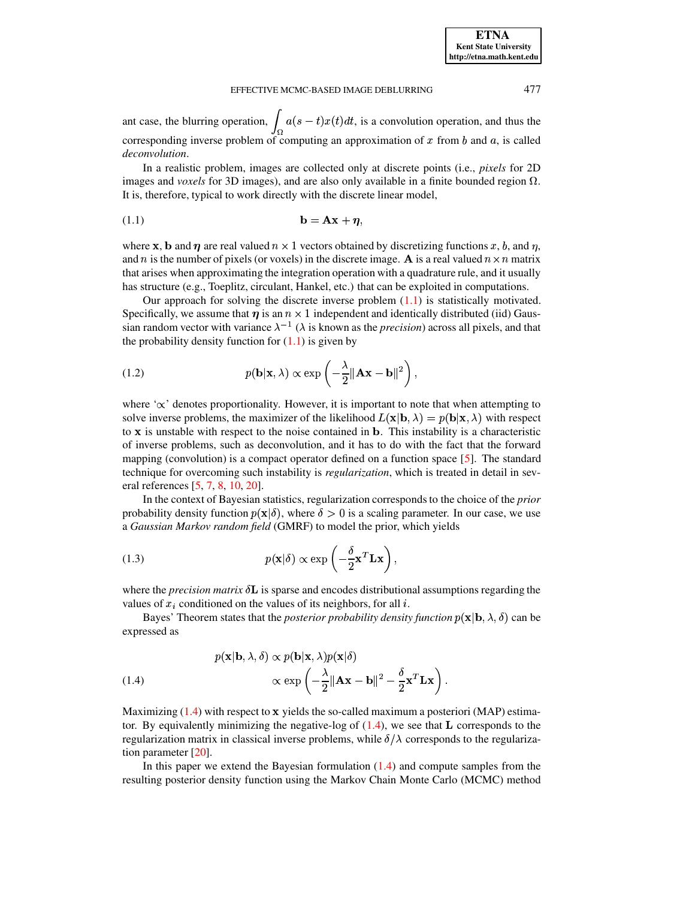**ETNA**

ant case, the blurring operation,  $\int a(s-t)x(t)dt$ , is a convolution operation, and thus the  $J_{\Omega}$ <br>corresponding inverse problem of computing an approximation of x from b and a, is called *deconvolution*.

In a realistic problem, images are collected only at discrete points (i.e., *pixels* for 2D images and *voxels* for 3D images), and are also only available in a finite bounded region  $\Omega$ . It is, therefore, typical to work directly with the discrete linear model,

$$
(1.1) \t\t\t\tb = Ax + η,
$$

where **x**, **b** and  $\eta$  are real valued  $n \times 1$  vectors obtained by discretizing functions x, b, and  $\eta$ , and n is the number of pixels (or voxels) in the discrete image. A is a real valued  $n \times n$  matrix that arises when approximating the integration operation with a quadrature rule, and it usually has structure (e.g., Toeplitz, circulant, Hankel, etc.) that can be exploited in computations.

Our approach for solving the discrete inverse problem  $(1.1)$  is statistically motivated. Specifically, we assume that  $\eta$  is an  $n \times 1$  independent and identically distributed (iid) Gaussian random vector with variance  $\lambda^{-1}$  ( $\lambda$  is known as the *precision*) across all pixels, and that the probability density function for  $(1.1)$  is given by

<span id="page-1-2"></span>(1.2) 
$$
p(\mathbf{b}|\mathbf{x},\lambda) \propto \exp\left(-\frac{\lambda}{2} \|\mathbf{A}\mathbf{x} - \mathbf{b}\|^2\right),
$$

where  $\alpha$ ' denotes proportionality. However, it is important to note that when attempting to solve inverse problems, the maximizer of the likelihood  $L(\mathbf{x}|\mathbf{b},\lambda) = p(\mathbf{b}|\mathbf{x},\lambda)$  with respect to  $x$  is unstable with respect to the noise contained in  $\bf{b}$ . This instability is a characteristic of inverse problems, such as deconvolution, and it has to do with the fact that the forward mapping (convolution) is a compact operator defined on a function space  $[5]$ . The standard technique for overcoming such instability is *regularization*, which is treated in detail in several references [\[5,](#page-12-0) [7,](#page-12-1) [8,](#page-12-2) [10,](#page-12-3) [20\]](#page-12-4).

<span id="page-1-3"></span>In the context of Bayesian statistics, regularization corresponds to the choice of the *prior* probability density function  $p(x|\delta)$ , where  $\delta > 0$  is a scaling parameter. In our case, we use a *Gaussian Markov random field* (GMRF) to model the prior, which yields

(1.3) 
$$
p(\mathbf{x}|\delta) \propto \exp\left(-\frac{\delta}{2}\mathbf{x}^T \mathbf{L}\mathbf{x}\right),
$$

where the *precision matrix*  $\delta$ **L** is sparse and encodes distributional assumptions regarding the values of  $x_i$  conditioned on the values of its neighbors, for all i.

Bayes' Theorem states that the *posterior probability density function*  $p(\mathbf{x}|\mathbf{b}, \lambda, \delta)$  can be expressed as

<span id="page-1-1"></span>(1.4)  

$$
p(\mathbf{x}|\mathbf{b}, \lambda, \delta) \propto p(\mathbf{b}|\mathbf{x}, \lambda)p(\mathbf{x}|\delta)
$$

$$
\propto \exp\left(-\frac{\lambda}{2}||\mathbf{A}\mathbf{x} - \mathbf{b}||^2 - \frac{\delta}{2}\mathbf{x}^T \mathbf{L}\mathbf{x}\right).
$$

Maximizing  $(1.4)$  with respect to x yields the so-called maximum a posteriori (MAP) estimator. By equivalently minimizing the negative-log of  $(1.4)$ , we see that L corresponds to the regularization matrix in classical inverse problems, while  $\delta/\lambda$  corresponds to the regularization parameter [\[20\]](#page-12-4).

In this paper we extend the Bayesian formulation  $(1.4)$  and compute samples from the resulting posterior density function using the Markov Chain Monte Carlo (MCMC) method

<span id="page-1-0"></span>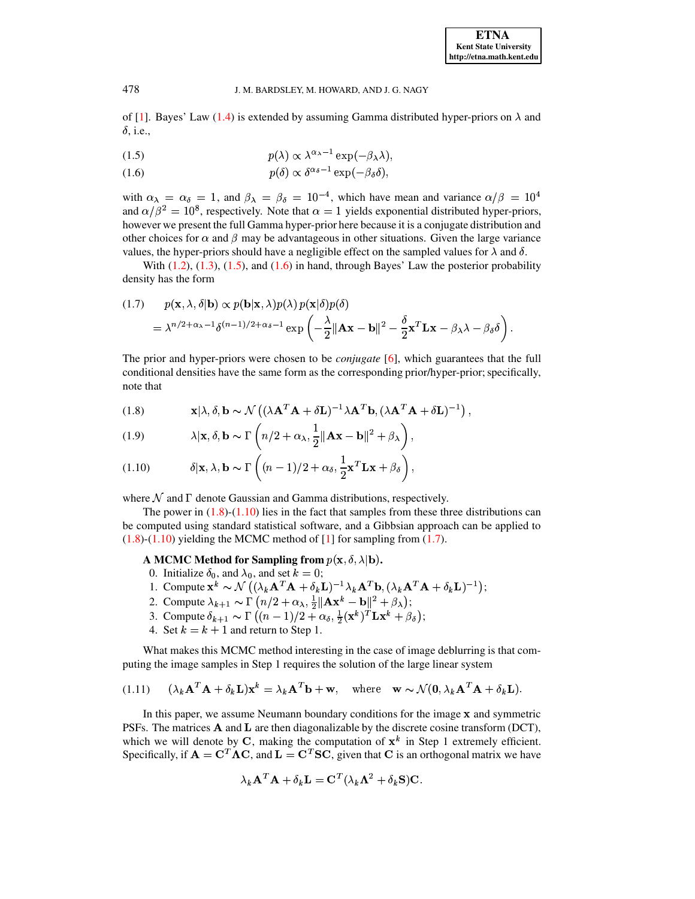of [\[1\]](#page-12-5). Bayes' Law [\(1.4\)](#page-1-1) is extended by assuming Gamma distributed hyper-priors on  $\lambda$  and  $\delta$ , i.e.,

<span id="page-2-0"></span>(1.5) 
$$
p(\lambda) \propto \lambda^{\alpha_{\lambda}-1} \exp(-\beta_{\lambda}\lambda),
$$

$$
(1.6) \t\t\t p(\delta) \propto \delta^{\alpha_{\delta}-1} \exp(-\beta_{\delta}\delta),
$$

with  $\alpha_{\lambda} = \alpha_{\delta} = 1$ , and  $\beta_{\lambda} = \beta_{\delta} = 10^{-4}$ , which have mean and variance  $\alpha/\beta = 10^{4}$ and  $\alpha/\beta^2 = 10^8$ , respectively. Note that  $\alpha = 1$  yields exponential distributed hyper-priors, however we present the full Gamma hyper-prior here because it is a conjugate distribution and other choices for  $\alpha$  and  $\beta$  may be advantageous in other situations. Given the large variance values, the hyper-priors should have a negligible effect on the sampled values for  $\lambda$  and  $\delta$ .

With  $(1.2)$ ,  $(1.3)$ ,  $(1.5)$ , and  $(1.6)$  in hand, through Bayes' Law the posterior probability density has the form

<span id="page-2-2"></span>(1.7) 
$$
p(\mathbf{x}, \lambda, \delta | \mathbf{b}) \propto p(\mathbf{b} | \mathbf{x}, \lambda) p(\lambda) p(\mathbf{x} | \delta) p(\delta)
$$

$$
= \lambda^{n/2 + \alpha_{\lambda} - 1} \delta^{(n-1)/2 + \alpha_{\delta} - 1} \exp \left( -\frac{\lambda}{2} || \mathbf{A} \mathbf{x} - \mathbf{b} ||^2 - \frac{\delta}{2} \mathbf{x}^T \mathbf{L} \mathbf{x} - \beta_{\lambda} \lambda - \beta_{\delta} \delta \right).
$$

The prior and hyper-priors were chosen to be *conjugate* [\[6\]](#page-12-6), which guarantees that the full conditional densities have the same form as the corresponding prior/hyper-prior; specifically, note that

<span id="page-2-1"></span>(1.8) 
$$
\mathbf{x}|\lambda, \delta, \mathbf{b} \sim \mathcal{N}\left((\lambda \mathbf{A}^T \mathbf{A} + \delta \mathbf{L})^{-1} \lambda \mathbf{A}^T \mathbf{b}, (\lambda \mathbf{A}^T \mathbf{A} + \delta \mathbf{L})^{-1}\right),
$$

(1.9) 
$$
\lambda | \mathbf{x}, \delta, \mathbf{b} \sim \Gamma \left( n/2 + \alpha_{\lambda}, \frac{1}{2} || \mathbf{A} \mathbf{x} - \mathbf{b} ||^2 + \beta_{\lambda} \right),
$$

(1.10) 
$$
\delta | \mathbf{x}, \lambda, \mathbf{b} \sim \Gamma \left( (n-1)/2 + \alpha_{\delta}, \frac{1}{2} \mathbf{x}^T \mathbf{L} \mathbf{x} + \beta_{\delta} \right),
$$

where  $N$  and  $\Gamma$  denote Gaussian and Gamma distributions, respectively.

The power in  $(1.8)-(1.10)$  $(1.8)-(1.10)$  $(1.8)-(1.10)$  lies in the fact that samples from these three distributions can be computed using standard statistical software, and a Gibbsian approach can be applied to  $(1.8)-(1.10)$  $(1.8)-(1.10)$  $(1.8)-(1.10)$  yielding the MCMC method of [\[1\]](#page-12-5) for sampling from  $(1.7)$ .

# **A** MCMC Method for Sampling from  $p(\mathbf{x}, \delta, \lambda | \mathbf{b}).$

- 0. Initialize  $\delta_0$ , and  $\lambda_0$ , and set  $k=0$ ;
- 1. Compute  $\mathbf{x}^k \sim \mathcal{N}((\lambda_k \mathbf{A}^T \mathbf{A} + \delta_k \mathbf{L})^{-1} \lambda_k \mathbf{A}^T \mathbf{b}, (\lambda_k \mathbf{A}^T \mathbf{A} + \delta_k \mathbf{L})^{-1});$
- 2. Compute  $\lambda_{k+1} \sim \Gamma(n/2 + \alpha_{\lambda}, \frac{1}{2} ||\mathbf{A} \mathbf{x}^k \mathbf{b}||^2 + \beta_{\lambda});$
- 3. Compute  $\delta_{k+1} \sim \Gamma\left((n-1)/2 + \alpha_{\delta}, \frac{1}{2}(\mathbf{x}^k)^T \mathbf{L} \mathbf{x}^k + \beta_{\delta}\right);$
- 4. Set  $k = k + 1$  and return to Step 1.

What makes this MCMC method interesting in the case of image deblurring is that computing the image samples in Step 1 requires the solution of the large linear system

(1.11) 
$$
(\lambda_k \mathbf{A}^T \mathbf{A} + \delta_k \mathbf{L}) \mathbf{x}^k = \lambda_k \mathbf{A}^T \mathbf{b} + \mathbf{w}, \text{ where } \mathbf{w} \sim \mathcal{N}(\mathbf{0}, \lambda_k \mathbf{A}^T \mathbf{A} + \delta_k \mathbf{L}).
$$

In this paper, we assume Neumann boundary conditions for the image  $x$  and symmetric PSFs. The matrices  $\bf{A}$  and  $\bf{L}$  are then diagonalizable by the discrete cosine transform (DCT), which we will denote by C, making the computation of  $x^k$  in Step 1 extremely efficient. Specifically, if  $\mathbf{A} = \mathbf{C}^T \mathbf{\Lambda} \mathbf{C}$ , and  $\mathbf{L} = \mathbf{C}^T \mathbf{S} \mathbf{C}$ , given that  $\mathbf{C}$  is an orthogonal matrix we have

<span id="page-2-3"></span>
$$
\lambda_k \mathbf{A}^T \mathbf{A} + \delta_k \mathbf{L} = \mathbf{C}^T (\lambda_k \mathbf{\Lambda}^2 + \delta_k \mathbf{S}) \mathbf{C}.
$$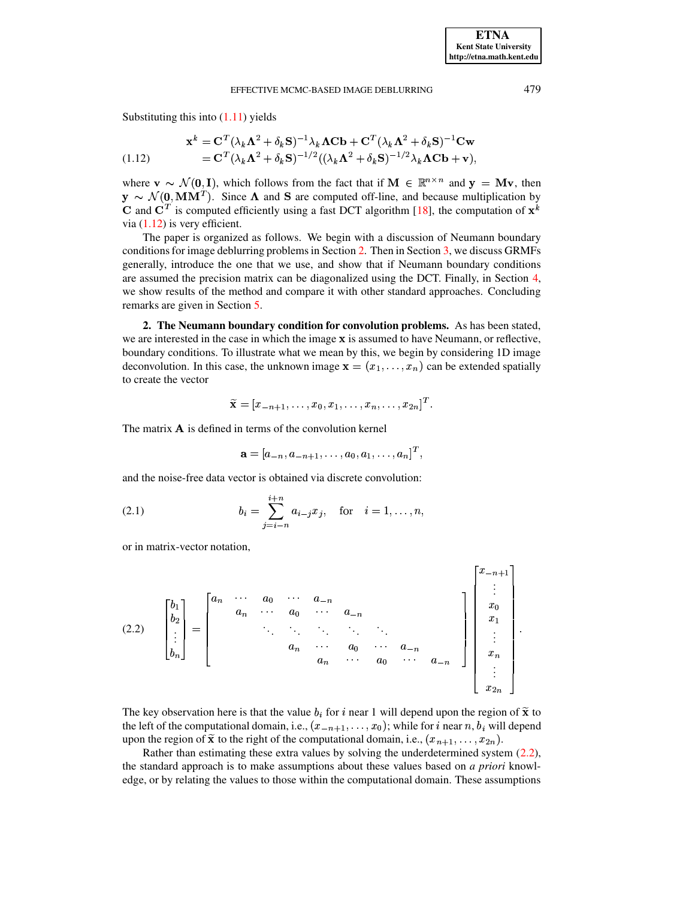### EFFECTIVE MCMC-BASED IMAGE DEBLURRING 479

Substituting this into  $(1.11)$  yields

<span id="page-3-0"></span>
$$
\mathbf{x}^{k} = \mathbf{C}^{T} (\lambda_{k} \mathbf{\Lambda}^{2} + \delta_{k} \mathbf{S})^{-1} \lambda_{k} \mathbf{\Lambda} \mathbf{C} \mathbf{b} + \mathbf{C}^{T} (\lambda_{k} \mathbf{\Lambda}^{2} + \delta_{k} \mathbf{S})^{-1} \mathbf{C} \mathbf{w}
$$
  
(1.12)  

$$
= \mathbf{C}^{T} (\lambda_{k} \mathbf{\Lambda}^{2} + \delta_{k} \mathbf{S})^{-1/2} ((\lambda_{k} \mathbf{\Lambda}^{2} + \delta_{k} \mathbf{S})^{-1/2} \lambda_{k} \mathbf{\Lambda} \mathbf{C} \mathbf{b} + \mathbf{v}),
$$

where  ${\bf v} \sim \mathcal{N}({\bf 0}, {\bf I})$ , which follows from the fact that if  ${\bf M} \in \mathbb{R}^{n \times n}$  and  ${\bf y}={\bf M}{\bf v}$ , then  $\mathbf{y} \sim \mathcal{N}(\mathbf{0}, \mathbf{M}\mathbf{M}^T)$ . Since  $\mathbf{\Lambda}$  and  $\mathbf{S}$  are computed off-line, and because multiplication by **C** and  $C^T$  is computed efficiently using a fast DCT algorithm [\[18\]](#page-12-7), the computation of  $x^k$ via  $(1.12)$  is very efficient.

The paper is organized as follows. We begin with a discussion of Neumann boundary conditions for image deblurring problems in Section [2.](#page-3-1) Then in Section [3,](#page-5-0) we discuss GRMFs generally, introduce the one that we use, and show that if Neumann boundary conditions are assumed the precision matrix can be diagonalized using the DCT. Finally, in Section [4,](#page-8-0) we show results of the method and compare it with other standard approaches. Concluding remarks are given in Section [5.](#page-11-0)

<span id="page-3-1"></span>**2. The Neumann boundary condition for convolution problems.** As has been stated, we are interested in the case in which the image  $x$  is assumed to have Neumann, or reflective, boundary conditions. To illustrate what we mean by this, we begin by considering 1D image deconvolution. In this case, the unknown image  $\mathbf{x} = (x_1, \dots, x_n)$  can be extended spatially to create the vector

$$
\widetilde{\mathbf{x}} = [x_{-n+1}, \ldots, x_0, x_1, \ldots, x_n, \ldots, x_{2n}]^T.
$$

The matrix  $\bf{A}$  is defined in terms of the convolution kernel

<span id="page-3-3"></span>
$$
\mathbf{a}=[a_{-n},a_{-n+1},\ldots,a_0,a_1,\ldots,a_n]^T,
$$

and the noise-free data vector is obtained via discrete convolution:

(2.1) 
$$
b_i = \sum_{j=i-n}^{i+n} a_{i-j} x_j, \text{ for } i = 1, ..., n,
$$

<span id="page-3-2"></span>or in matrix-vector notation,

$$
(2.2) \quad \begin{bmatrix} b_1 \\ b_2 \\ \vdots \\ b_n \end{bmatrix} = \begin{bmatrix} a_n & \cdots & a_0 & \cdots & a_{-n} \\ & a_n & \cdots & a_0 & \cdots & a_{-n} \\ & & \ddots & \ddots & \ddots & \ddots & \ddots \\ & & & a_n & \cdots & a_0 & \cdots & a_{-n} \\ & & & & a_n & \cdots & a_0 & \cdots & a_{-n} \end{bmatrix} \begin{bmatrix} x_{-n+1} \\ \vdots \\ x_0 \\ x_1 \\ \vdots \\ x_n \\ \vdots \\ x_2 \end{bmatrix}.
$$

The key observation here is that the value  $b_i$  for i near 1 will depend upon the region of  $\tilde{\mathbf{x}}$  to the left of the computational domain, i.e.,  $(x_{-n+1},...,x_0)$ ; while for *i* near *n*,  $b_i$  will depend upon the region of  $\tilde{\mathbf{x}}$  to the right of the computational domain, i.e.,  $(x_{n+1},...,x_{2n})$ . outational domain, i.e.,  $(x_{n+1}, \ldots, x_{2n})$ .

Rather than estimating these extra values by solving the underdetermined system [\(2.2\)](#page-3-2), the standard approach is to make assumptions about these values based on *a priori* knowledge, or by relating the values to those within the computational domain. These assumptions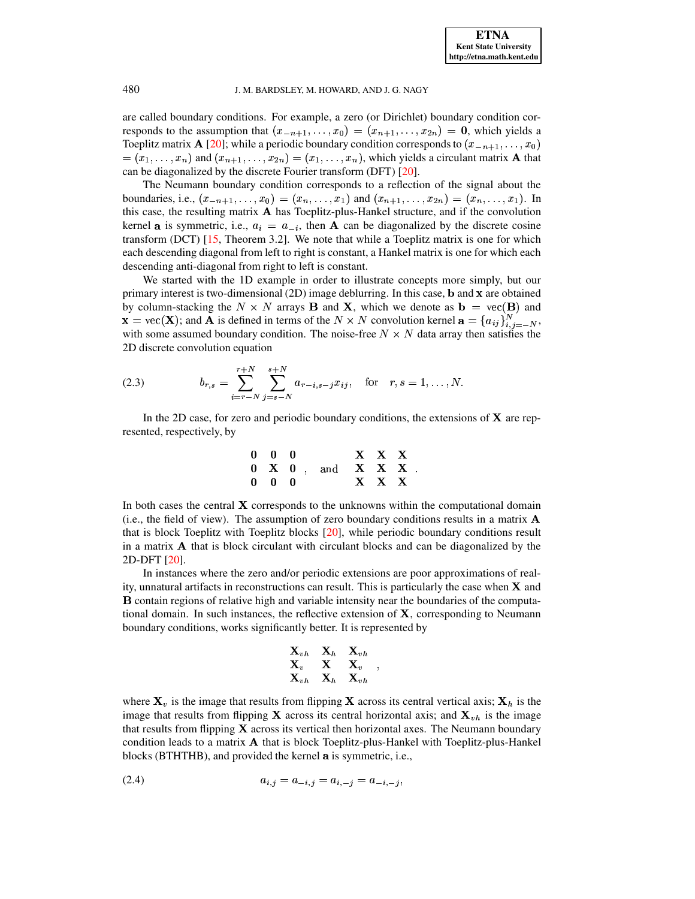are called boundary conditions. For example, a zero (or Dirichlet) boundary condition corresponds to the assumption that  $(x_{-n+1},...,x_0) = (x_{n+1},...,x_{2n}) = 0$ , which yields a Toeplitz matrix **A** [20]; while a periodic boundary condition corresponds to  $(x_{-n+1},...,x_0)$  $x = (x_1, \ldots, x_n)$  and  $(x_{n+1}, \ldots, x_{2n}) = (x_1, \ldots, x_n)$ , which yields a circulant matrix **A** that can be diagonalized by the discrete Fourier transform (DFT) [20].

The Neumann boundary condition corresponds to a reflection of the signal about the boundaries, i.e.,  $(x_{-n+1},...,x_0) = (x_n,...,x_1)$  and  $(x_{n+1},...,x_{2n}) = (x_n,...,x_1)$ . In this case, the resulting matrix A has Toeplitz-plus-Hankel structure, and if the convolution kernel **a** is symmetric, i.e.,  $a_i = a_{-i}$ , then **A** can be diagonalized by the discrete cosine transform (DCT)  $[15,$  Theorem 3.2. We note that while a Toeplitz matrix is one for which each descending diagonal from left to right is constant, a Hankel matrix is one for which each descending anti-diagonal from right to left is constant.

We started with the 1D example in order to illustrate concepts more simply, but our primary interest is two-dimensional (2D) image deblurring. In this case, b and x are obtained by column-stacking the  $N \times N$  arrays **B** and **X**, which we denote as  $\mathbf{b} = \text{vec}(\mathbf{B})$  and  $\mathbf{x} = \text{vec}(\mathbf{X})$ ; and **A** is defined in terms of the  $N \times N$  convolution kernel  $\mathbf{a} = \{a_{ij}\}_{i,j=-N}^N$ , with some assumed boundary condition. The noise-free  $N \times N$  data array then satisfies the 2D discrete convolution equation

<span id="page-4-1"></span>(2.3) 
$$
b_{r,s} = \sum_{i=r-N}^{r+N} \sum_{j=s-N}^{s+N} a_{r-i,s-j} x_{ij}, \text{ for } r,s = 1,\ldots,N
$$

In the 2D case, for zero and periodic boundary conditions, the extensions of  $X$  are represented, respectively, by

$$
\begin{matrix} 0 & 0 & 0 \\ 0 & X & 0 \\ 0 & 0 & 0 \end{matrix}, \quad \text{and} \quad \begin{matrix} X & X & X \\ X & X & X \\ X & X & X \end{matrix}
$$

In both cases the central  $X$  corresponds to the unknowns within the computational domain (i.e., the field of view). The assumption of zero boundary conditions results in a matrix **A** that is block Toeplitz with Toeplitz blocks [20], while periodic boundary conditions result in a matrix  $A$  that is block circulant with circulant blocks and can be diagonalized by the 2D-DFT [20].

In instances where the zero and/or periodic extensions are poor approximations of reality, unnatural artifacts in reconstructions can result. This is particularly the case when  $X$  and **B** contain regions of relative high and variable intensity near the boundaries of the computational domain. In such instances, the reflective extension of  $X$ , corresponding to Neumann boundary conditions, works significantly better. It is represented by

<span id="page-4-0"></span>
$$
\begin{array}{ccccc}\n\mathbf{X}_{vh} & \mathbf{X}_h & \mathbf{X}_{vh} \\
\mathbf{X}_v & \mathbf{X} & \mathbf{X}_v \\
\mathbf{X}_{vh} & \mathbf{X}_h & \mathbf{X}_{vh}\n\end{array},
$$

where  $X_v$  is the image that results from flipping X across its central vertical axis;  $X_h$  is the image that results from flipping **X** across its central horizontal axis; and  $\mathbf{X}_{vh}$  is the image that results from flipping X across its vertical then horizontal axes. The Neumann boundary condition leads to a matrix A that is block Toeplitz-plus-Hankel with Toeplitz-plus-Hankel blocks (BTHTHB), and provided the kernel a is symmetric, i.e.,

$$
(2.4) \t\t\t a_{i,j} = a_{-i,j} = a_{i,-j} = a_{-i,-j},
$$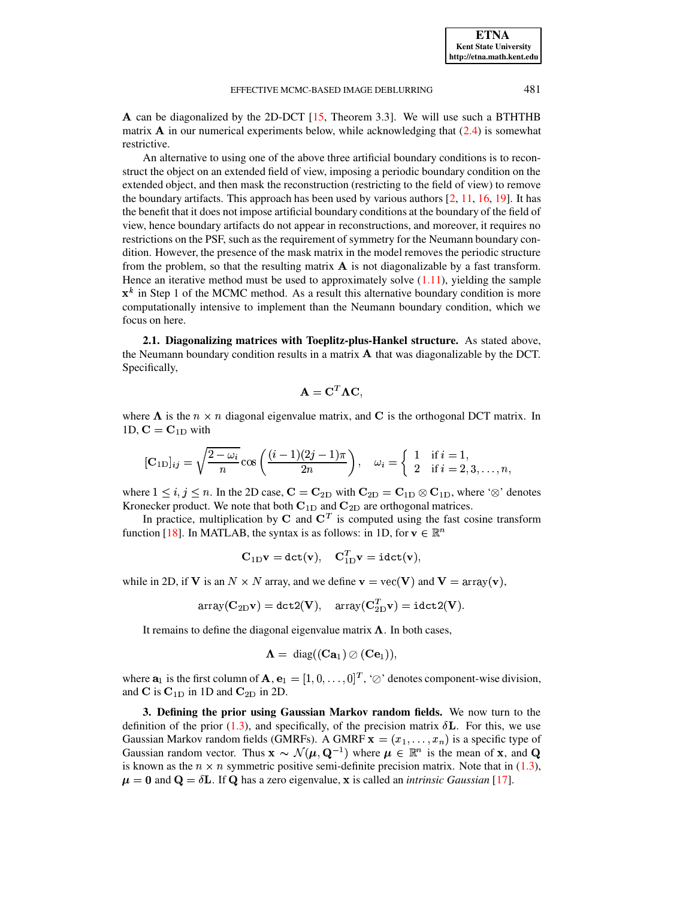**ETNA Kent State University** 

A can be diagonalized by the 2D-DCT [15, Theorem 3.3]. We will use such a BTHTHB matrix **A** in our numerical experiments below, while acknowledging that  $(2.4)$  is somewhat restrictive.

An alternative to using one of the above three artificial boundary conditions is to reconstruct the object on an extended field of view, imposing a periodic boundary condition on the extended object, and then mask the reconstruction (restricting to the field of view) to remove the boundary artifacts. This approach has been used by various authors  $[2, 11, 16, 19]$ . It has the benefit that it does not impose artificial boundary conditions at the boundary of the field of view, hence boundary artifacts do not appear in reconstructions, and moreover, it requires no restrictions on the PSF, such as the requirement of symmetry for the Neumann boundary condition. However, the presence of the mask matrix in the model removes the periodic structure from the problem, so that the resulting matrix  $\bf{A}$  is not diagonalizable by a fast transform. Hence an iterative method must be used to approximately solve  $(1.11)$ , yielding the sample  $x<sup>k</sup>$  in Step 1 of the MCMC method. As a result this alternative boundary condition is more computationally intensive to implement than the Neumann boundary condition, which we focus on here.

2.1. Diagonalizing matrices with Toeplitz-plus-Hankel structure. As stated above, the Neumann boundary condition results in a matrix **A** that was diagonalizable by the DCT. Specifically,

$$
\mathbf{A} = \mathbf{C}^T \mathbf{\Lambda} \mathbf{C},
$$

where  $\Lambda$  is the  $n \times n$  diagonal eigenvalue matrix, and C is the orthogonal DCT matrix. In 1D,  $C = C_{1D}$  with

$$
[\mathbf{C}_{1D}]_{ij} = \sqrt{\frac{2 - \omega_i}{n}} \cos \left( \frac{(i-1)(2j-1)\pi}{2n} \right), \quad \omega_i = \begin{cases} 1 & \text{if } i = 1, \\ 2 & \text{if } i = 2, 3, \dots, n, \end{cases}
$$

where  $1 \le i, j \le n$ . In the 2D case,  $C = C_{2D}$  with  $C_{2D} = C_{1D} \otimes C_{1D}$ , where ' $\otimes$ ' denotes Kronecker product. We note that both  $C_{1D}$  and  $C_{2D}$  are orthogonal matrices.

In practice, multiplication by C and  $C<sup>T</sup>$  is computed using the fast cosine transform function [18]. In MATLAB, the syntax is as follows: in 1D, for  $v \in \mathbb{R}^n$ 

$$
C_{1D}v = \text{dct}(v), \quad C_{1D}^T v = \text{idct}(v)
$$

while in 2D, if **V** is an  $N \times N$  array, and we define  $\mathbf{v} = \text{vec}(\mathbf{V})$  and  $\mathbf{V} = \text{array}(\mathbf{v})$ ,

array
$$
(\mathbf{C}_{2D}\mathbf{v}) = \text{dct2}(\mathbf{V}), \quad \text{array}(\mathbf{C}_{2D}^T\mathbf{v}) = \text{idct2}(\mathbf{V}).
$$

It remains to define the diagonal eigenvalue matrix  $\Lambda$ . In both cases,

$$
\Lambda = \text{ diag}((\mathbf{Ca}_1) \oslash (\mathbf{Ce}_1)),
$$

where  $\mathbf{a}_1$  is the first column of  $\mathbf{A}, \mathbf{e}_1 = [1, 0, \dots, 0]^T$ , ' $\oslash$ ' denotes component-wise division, and  $C$  is  $C_{1D}$  in 1D and  $C_{2D}$  in 2D.

<span id="page-5-0"></span>3. Defining the prior using Gaussian Markov random fields. We now turn to the definition of the prior (1.3), and specifically, of the precision matrix  $\delta$ **L**. For this, we use Gaussian Markov random fields (GMRFs). A GMRF  $\mathbf{x} = (x_1, \dots, x_n)$  is a specific type of Gaussian random vector. Thus  $\mathbf{x} \sim \mathcal{N}(\mu, \mathbf{Q}^{-1})$  where  $\mu \in \mathbb{R}^n$  is the mean of **x**, and **Q** is known as the  $n \times n$  symmetric positive semi-definite precision matrix. Note that in (1.3),  $\mu = 0$  and  $Q = \delta L$ . If Q has a zero eigenvalue, x is called an *intrinsic Gaussian* [17].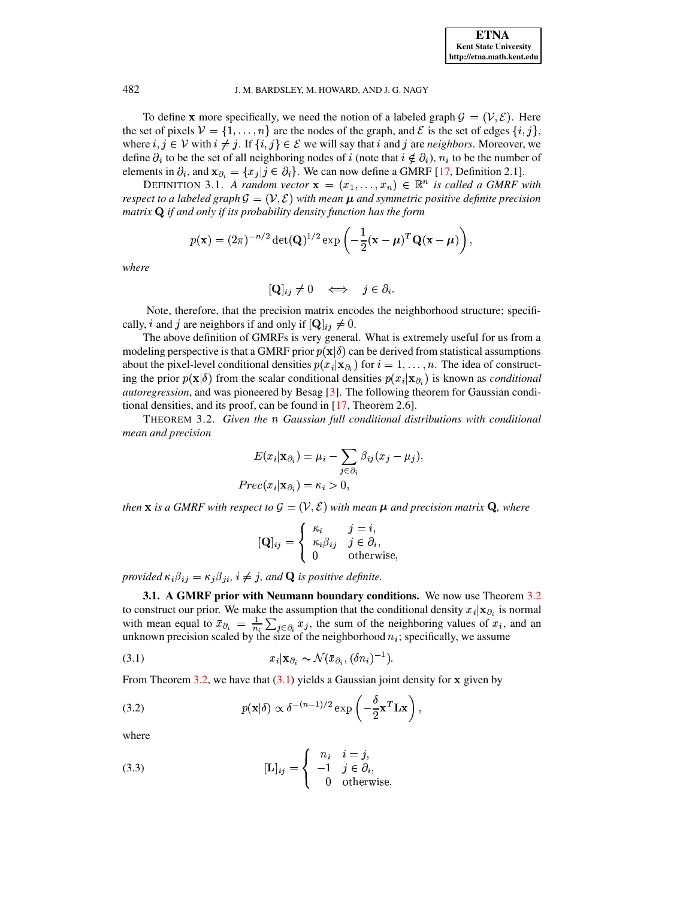To define **x** more specifically, we need the notion of a labeled graph  $\mathcal{G} = (\mathcal{V}, \mathcal{E})$ . Here the set of pixels  $V = \{1, ..., n\}$  are the nodes of the graph, and  $\mathcal E$  is the set of edges  $\{i, j\}$ , where  $i, j \in V$  with  $i \neq j$ . If  $\{i, j\} \in \mathcal{E}$  we will say that i and j are *neighbors*. Moreover, we define  $\partial_i$  to be the set of all neighboring nodes of i (note that  $i \notin \partial_i$ ),  $n_i$  to be the number of elements in  $\partial_i$ , and  $\mathbf{x}_{\partial_i} = \{x_j | j \in \partial_i\}$ . We can now define a GMRF [17, Definition 2.1].

DEFINITION 3.1. A random vector  $\mathbf{x} = (x_1, \ldots, x_n) \in \mathbb{R}^n$  is called a GMRF with respect to a labeled graph  $\mathcal{G} = (\mathcal{V}, \mathcal{E})$  with mean  $\mu$  and symmetric positive definite precision matrix  $\bf{Q}$  if and only if its probability density function has the form

$$
p(\mathbf{x}) = (2\pi)^{-n/2} \det(\mathbf{Q})^{1/2} \exp\left(-\frac{1}{2}(\mathbf{x} - \boldsymbol{\mu})^T \mathbf{Q}(\mathbf{x} - \boldsymbol{\mu})\right)
$$

where

$$
[\mathbf{Q}]_{ij} \neq 0 \iff j \in \partial_i
$$
.

Note, therefore, that the precision matrix encodes the neighborhood structure; specifically, *i* and *j* are neighbors if and only if  $[Q]_{ij} \neq 0$ .

The above definition of GMRFs is very general. What is extremely useful for us from a modeling perspective is that a GMRF prior  $p(x|\delta)$  can be derived from statistical assumptions about the pixel-level conditional densities  $p(x_i | \mathbf{x}_{\partial_i})$  for  $i = 1, ..., n$ . The idea of constructing the prior  $p(x|\delta)$  from the scalar conditional densities  $p(x_i|x_{\delta_i})$  is known as *conditional autoregression*, and was pioneered by Besag [3]. The following theorem for Gaussian conditional densities, and its proof, can be found in  $[17,$  Theorem 2.6].

THEOREM 3.2. Given the n Gaussian full conditional distributions with conditional mean and precision

<span id="page-6-0"></span>
$$
E(x_i|\mathbf{x}_{\partial_i}) = \mu_i - \sum_{j \in \partial_i} \beta_{ij}(x_j - \mu_j)
$$

$$
Prec(x_i|\mathbf{x}_{\partial_i}) = \kappa_i > 0,
$$

then **x** is a GMRF with respect to  $\mathcal{G} = (\mathcal{V}, \mathcal{E})$  with mean  $\mu$  and precision matrix **Q**, where

<span id="page-6-1"></span>
$$
[\mathbf{Q}]_{ij} = \begin{cases} \kappa_i & j = i, \\ \kappa_i \beta_{ij} & j \in \partial_i, \\ 0 & \text{otherwise,} \end{cases}
$$

provided  $\kappa_i \beta_{ij} = \kappa_j \beta_{ji}$ ,  $i \neq j$ , and **Q** is positive definite.

3.1. A GMRF prior with Neumann boundary conditions. We now use Theorem 3.2 to construct our prior. We make the assumption that the conditional density  $x_i|\mathbf{x}_{\partial_i}$  is normal with mean equal to  $\bar{x}_{\partial_i} = \frac{1}{n_i} \sum_{j \in \partial_i} x_j$ , the sum of the neighboring values of  $x_i$ , and an unknown precision scaled by the size of the neighborhood  $n_i$ ; specifically, we assume

$$
(3.1) \t\t x_i | \mathbf{x}_{\partial_i} \sim \mathcal{N}(\bar{x}_{\partial_i}, (\delta n_i)^{-1})
$$

From Theorem 3.2, we have that  $(3.1)$  yields a Gaussian joint density for x given by

(3.2) 
$$
p(\mathbf{x}|\delta) \propto \delta^{-(n-1)/2} \exp\left(-\frac{\delta}{2}\mathbf{x}^T \mathbf{L} \mathbf{x}\right),
$$

<span id="page-6-2"></span>where

(3.3) 
$$
[\mathbf{L}]_{ij} = \begin{cases} n_i & i = j, \\ -1 & j \in \partial_i, \\ 0 & \text{otherwise,} \end{cases}
$$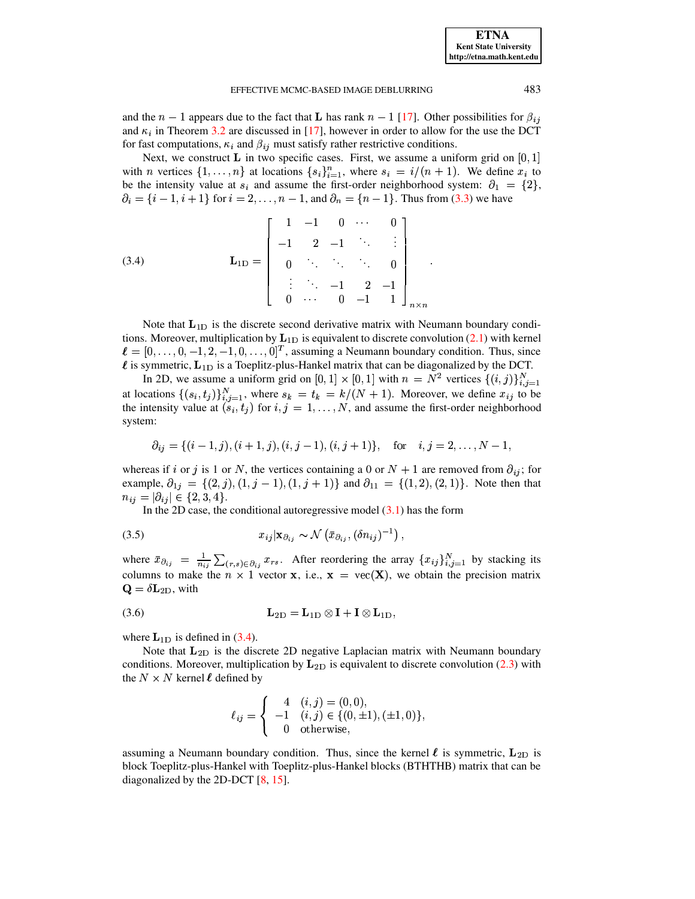<span id="page-7-0"></span>**ETNA Kent State University** http://etna.math.kent.edu

#### EFFECTIVE MCMC-BASED IMAGE DEBLURRING

and the  $n-1$  appears due to the fact that **L** has rank  $n-1$  [17]. Other possibilities for  $\beta_{ij}$ and  $\kappa_i$  in Theorem 3.2 are discussed in [17], however in order to allow for the use the DCT for fast computations,  $\kappa_i$  and  $\beta_{ij}$  must satisfy rather restrictive conditions.

Next, we construct **L** in two specific cases. First, we assume a uniform grid on  $[0,1]$ with *n* vertices  $\{1, \ldots, n\}$  at locations  $\{s_i\}_{i=1}^n$ , where  $s_i = i/(n + 1)$ . We define  $x_i$  to be the intensity value at  $s_i$  and assume the first-order neighborhood system:  $\partial_1 = \{2\},\$  $\partial_i = \{i-1, i+1\}$  for  $i = 2, ..., n-1$ , and  $\partial_n = \{n-1\}$ . Thus from (3.3) we have

(3.4) 
$$
\mathbf{L}_{1D} = \begin{bmatrix} 1 & -1 & 0 & \cdots & 0 \\ -1 & 2 & -1 & \ddots & \vdots \\ 0 & \ddots & \ddots & \ddots & 0 \\ \vdots & \ddots & -1 & 2 & -1 \\ 0 & \cdots & 0 & -1 & 1 \end{bmatrix}_{n \times n}
$$

Note that  $L_{1D}$  is the discrete second derivative matrix with Neumann boundary conditions. Moreover, multiplication by  $L_{1D}$  is equivalent to discrete convolution (2.1) with kernel  $\ell = [0, \ldots, 0, -1, 2, -1, 0, \ldots, 0]^T$ , assuming a Neumann boundary condition. Thus, since  $\ell$  is symmetric,  $L_{1D}$  is a Toeplitz-plus-Hankel matrix that can be diagonalized by the DCT.

In 2D, we assume a uniform grid on  $[0,1] \times [0,1]$  with  $n = N^2$  vertices  $\{(i,j)\}_{i,j=1}^N$ at locations  $\{(s_i, t_j)\}_{i,j=1}^N$ , where  $s_k = t_k = k/(N + 1)$ . Moreover, we define  $x_{ij}$  to be the intensity value at  $(s_i, t_j)$  for  $i, j = 1, ..., N$ , and assume the first-order neighborhood system:

$$
\partial_{ij} = \{ (i-1,j), (i+1,j), (i,j-1), (i,j+1) \}, \text{ for } i,j = 2, ..., N-1,
$$

whereas if i or j is 1 or N, the vertices containing a 0 or  $N + 1$  are removed from  $\partial_{ij}$ ; for example,  $\partial_{1j} = \{(2, j), (1, j - 1), (1, j + 1)\}\$ and  $\partial_{11} = \{(1, 2), (2, 1)\}\$ . Note then that  $n_{ij} = |\partial_{ij}| \in \{2, 3, 4\}.$ 

In the 2D case, the conditional autoregressive model  $(3.1)$  has the form

$$
(3.5) \t\t x_{ij} | \mathbf{x}_{\partial_{ij}} \sim \mathcal{N} \left( \bar{x}_{\partial_{ij}}, (\delta n_{ij})^{-1} \right)
$$

where  $\bar{x}_{\partial_{ij}} = \frac{1}{n_{ij}} \sum_{(r,s) \in \partial_{ij}} x_{rs}$ . After reordering the array  $\{x_{ij}\}_{i,j=1}^N$  by stacking its columns to make the  $n \times 1$  vector x, i.e.,  $x = \text{vec}(\mathbf{X})$ , we obtain the precision matrix  $\mathbf{Q} = \delta \mathbf{L}_{\text{2D}}$ , with

$$
\mathbf{L}_{2D} = \mathbf{L}_{1D} \otimes \mathbf{I} + \mathbf{I} \otimes \mathbf{L}_{1D},
$$

where  $L_{1D}$  is defined in (3.4).

Note that  $L_{2D}$  is the discrete 2D negative Laplacian matrix with Neumann boundary conditions. Moreover, multiplication by  $L_{2D}$  is equivalent to discrete convolution (2.3) with the  $N \times N$  kernel  $\ell$  defined by

$$
\ell_{ij} = \begin{cases}\n4 & (i,j) = (0,0), \\
-1 & (i,j) \in \{ (0, \pm 1), (\pm 1, 0) \}, \\
0 & \text{otherwise,} \n\end{cases}
$$

assuming a Neumann boundary condition. Thus, since the kernel  $\ell$  is symmetric,  $L_{2D}$  is block Toeplitz-plus-Hankel with Toeplitz-plus-Hankel blocks (BTHTHB) matrix that can be diagonalized by the 2D-DCT  $[8, 15]$ .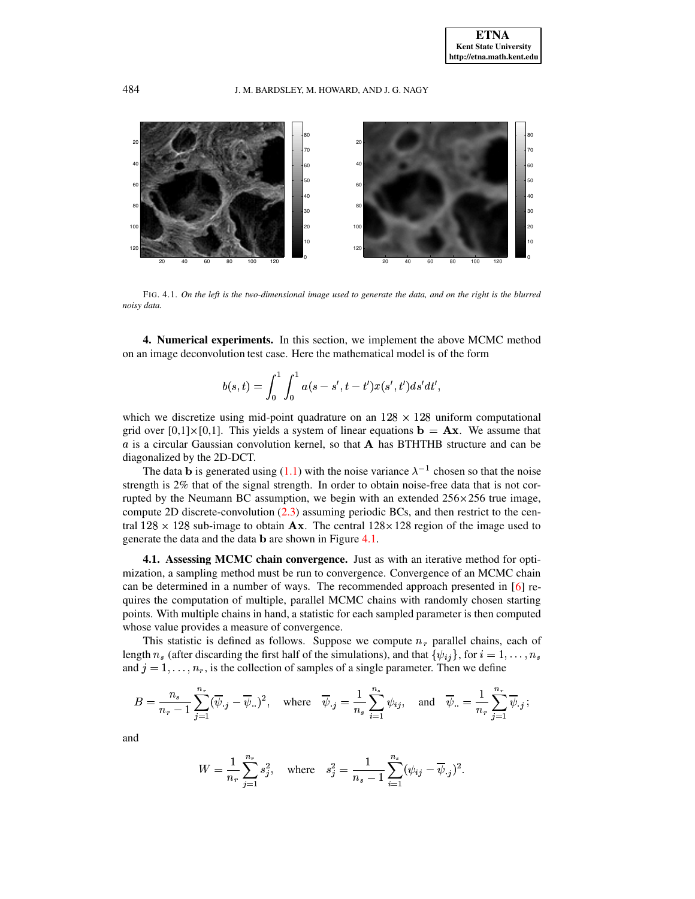

<span id="page-8-1"></span>FIG. 4.1. On the left is the two-dimensional image used to generate the data, and on the right is the blurred *noisy data.*

<span id="page-8-0"></span>**4. Numerical experiments.** In this section, we implement the above MCMC method on an image deconvolution test case. Here the mathematical model is of the form

$$
b(s,t)=\int_0^1\int_0^1 a(s-s',t-t')x(s',t')ds'dt',
$$

which we discretize using mid-point quadrature on an  $128 \times 128$  uniform computational grid over [0,1]  $\times$  [0,1]. This yields a system of linear equations  $\mathbf{b} = \mathbf{A}\mathbf{x}$ . We assume that  $a$  is a circular Gaussian convolution kernel, so that  $A$  has BTHTHB structure and can be diagonalized by the 2D-DCT.

The data **b** is generated using [\(1.1\)](#page-1-0) with the noise variance  $\lambda^{-1}$  chosen so that the noise strength is 2% that of the signal strength. In order to obtain noise-free data that is not corrupted by the Neumann BC assumption, we begin with an extended  $256 \times 256$  true image, compute 2D discrete-convolution [\(2.3\)](#page-4-1) assuming periodic BCs, and then restrict to the central  $128 \times 128$  sub-image to obtain **Ax**. The central  $128 \times 128$  region of the image used to generate the data and the data  $\bf{b}$  are shown in Figure [4.1.](#page-8-1)

**4.1. Assessing MCMC chain convergence.** Just as with an iterative method for optimization, a sampling method must be run to convergence. Convergence of an MCMC chain can be determined in a number of ways. The recommended approach presented in  $[6]$  requires the computation of multiple, parallel MCMC chains with randomly chosen starting points. With multiple chains in hand, a statistic for each sampled parameter is then computed whose value provides a measure of convergence.

This statistic is defined as follows. Suppose we compute  $n_r$  parallel chains, each of length  $n_s$  (after discarding the first half of the simulations), and that  $\{\psi_{ij}\}\text{, for } i = 1, \ldots, n_s$ and  $j = 1, \ldots, n_r$ , is the collection of samples of a single parameter. Then we define

$$
B = \frac{n_s}{n_r - 1} \sum_{j=1}^{n_r} (\overline{\psi}_{\cdot j} - \overline{\psi}_{\cdot \cdot})^2, \quad \text{where} \quad \overline{\psi}_{\cdot j} = \frac{1}{n_s} \sum_{i=1}^{n_s} \psi_{ij}, \quad \text{and} \quad \overline{\psi}_{\cdot \cdot} = \frac{1}{n_r} \sum_{j=1}^{n_r} \overline{\psi}_{\cdot j} ;
$$

and

$$
W = \frac{1}{n_r} \sum_{j=1}^{n_r} s_j^2, \text{ where } s_j^2 = \frac{1}{n_s - 1} \sum_{i=1}^{n_s} (\psi_{ij} - \overline{\psi}_{.j})^2.
$$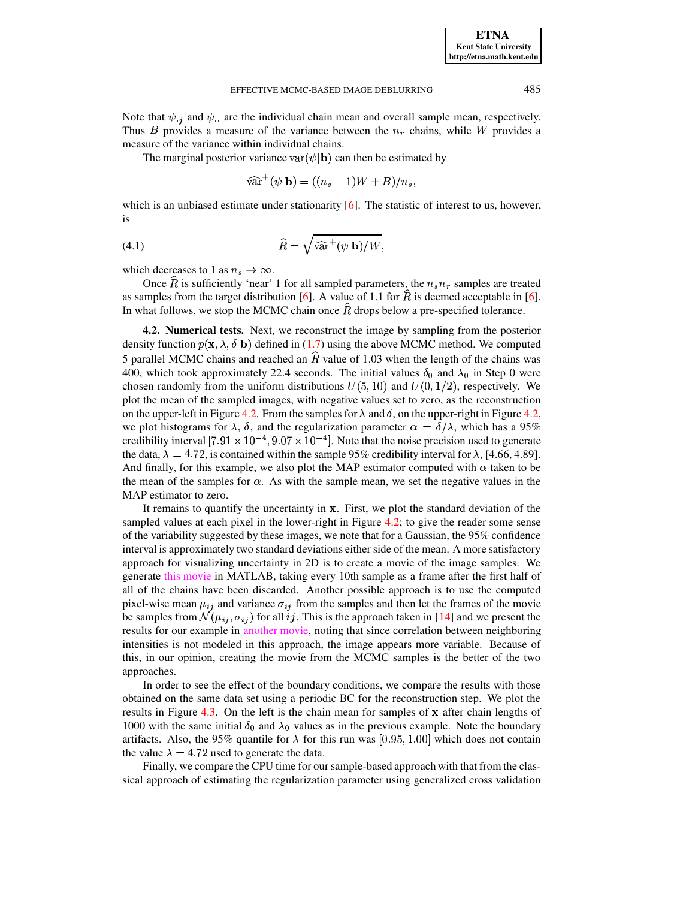Note that  $\overline{\psi}_i$  and  $\overline{\psi}_i$  are the individual chain mean and overall sample mean, respectively. Thus B provides a measure of the variance between the  $n_r$  chains, while W provides a measure of the variance within individual chains.

The marginal posterior variance var $(\psi | \mathbf{b})$  can then be estimated by

$$
\widehat{\text{var}}^+(\psi|\mathbf{b}) = ((n_s - 1)W + B)/n_s,
$$

which is an unbiased estimate under stationarity  $[6]$ . The statistic of interest to us, however, is

(4.1) 
$$
\widehat{R} = \sqrt{\widehat{\text{var}}^+ (\psi | \mathbf{b}) / W},
$$

which decreases to 1 as  $n_s \to \infty$ .

Once R is sufficiently 'near' 1 for all sampled parameters, the  $n_s n_r$  samples are treated as samples from the target distribution [6]. A value of 1.1 for  $\overline{R}$  is deemed acceptable in [6]. In what follows, we stop the MCMC chain once  $R$  drops below a pre-specified tolerance.

**4.2. Numerical tests.** Next, we reconstruct the image by sampling from the posterior density function  $p(x, \lambda, \delta | \mathbf{b})$  defined in (1.7) using the above MCMC method. We computed 5 parallel MCMC chains and reached an  $\overline{R}$  value of 1.03 when the length of the chains was 400, which took approximately 22.4 seconds. The initial values  $\delta_0$  and  $\lambda_0$  in Step 0 were chosen randomly from the uniform distributions  $U(5, 10)$  and  $U(0, 1/2)$ , respectively. We plot the mean of the sampled images, with negative values set to zero, as the reconstruction on the upper-left in Figure 4.2. From the samples for  $\lambda$  and  $\delta$ , on the upper-right in Figure 4.2, we plot histograms for  $\lambda$ ,  $\delta$ , and the regularization parameter  $\alpha = \delta/\lambda$ , which has a 95% credibility interval  $[7.91 \times 10^{-4}, 9.07 \times 10^{-4}]$ . Note that the noise precision used to generate the data,  $\lambda = 4.72$ , is contained within the sample 95% credibility interval for  $\lambda$ , [4.66, 4.89]. And finally, for this example, we also plot the MAP estimator computed with  $\alpha$  taken to be the mean of the samples for  $\alpha$ . As with the sample mean, we set the negative values in the MAP estimator to zero.

It remains to quantify the uncertainty in x. First, we plot the standard deviation of the sampled values at each pixel in the lower-right in Figure 4.2; to give the reader some sense of the variability suggested by these images, we note that for a Gaussian, the 95% confidence interval is approximately two standard deviations either side of the mean. A more satisfactory approach for visualizing uncertainty in 2D is to create a movie of the image samples. We generate this movie in MATLAB, taking every 10th sample as a frame after the first half of all of the chains have been discarded. Another possible approach is to use the computed pixel-wise mean  $\mu_{ij}$  and variance  $\sigma_{ij}$  from the samples and then let the frames of the movie be samples from  $\mathcal{N}(\mu_{ij}, \sigma_{ij})$  for all ij. This is the approach taken in [14] and we present the results for our example in another movie, noting that since correlation between neighboring intensities is not modeled in this approach, the image appears more variable. Because of this, in our opinion, creating the movie from the MCMC samples is the better of the two approaches.

In order to see the effect of the boundary conditions, we compare the results with those obtained on the same data set using a periodic BC for the reconstruction step. We plot the results in Figure 4.3. On the left is the chain mean for samples of  $x$  after chain lengths of 1000 with the same initial  $\delta_0$  and  $\lambda_0$  values as in the previous example. Note the boundary artifacts. Also, the 95% quantile for  $\lambda$  for this run was [0.95, 1.00] which does not contain the value  $\lambda = 4.72$  used to generate the data.

Finally, we compare the CPU time for our sample-based approach with that from the classical approach of estimating the regularization parameter using generalized cross validation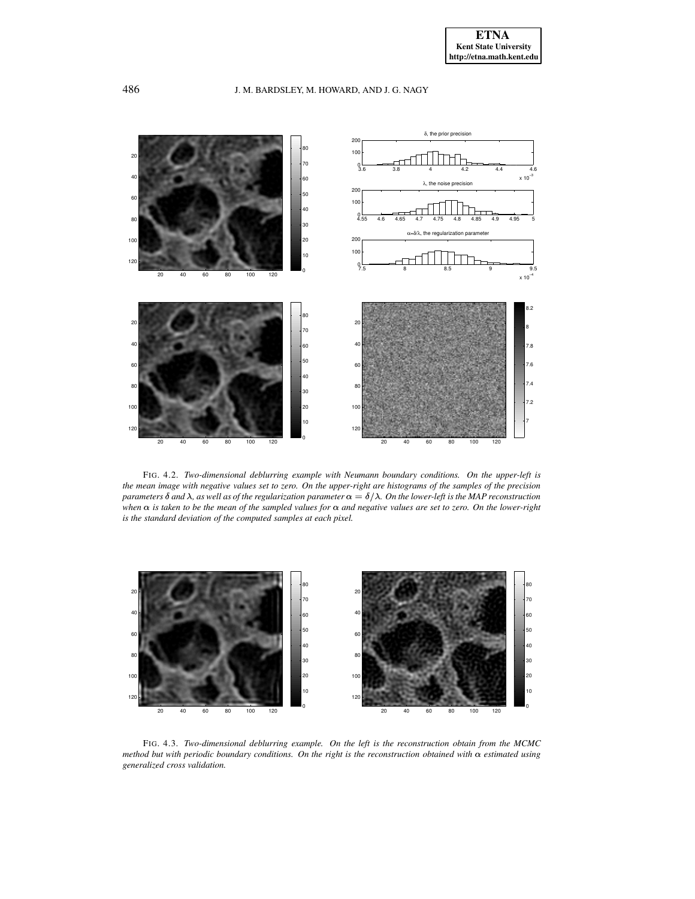

<span id="page-10-0"></span>FIG. 4.2. *Two-dimensional deblurring example with Neumann boundary conditions. On the upper-left is* the mean image with negative values set to zero. On the upper-right are histograms of the samples of the precision parameters  $\delta$  and  $\lambda$ , as well as of the regularization parameter  $\alpha = \delta/\lambda$ . On the lower-left is the MAP reconstruction when  $\alpha$  is taken to be the mean of the sampled values for  $\alpha$  and negative values are set to zero. On the lower-right *is the standard deviation of the computed samples at each pixel.*



<span id="page-10-1"></span>FIG. 4.3. *Two-dimensional deblurring example. On the left is the reconstruction obtain from the MCMC method* but with periodic boundary conditions. On the right is the reconstruction obtained with  $\alpha$  estimated using *generalized cross validation.*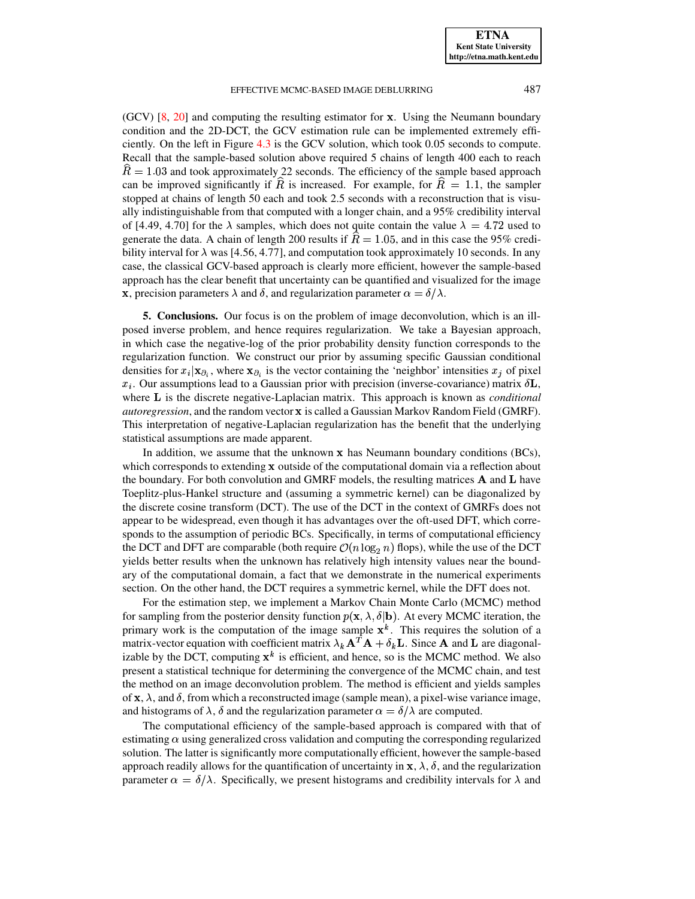### EFFECTIVE MCMC-BASED IMAGE DEBLURRING 487

 $(GCV)$  [\[8,](#page-12-2) [20\]](#page-12-4) and computing the resulting estimator for  $x$ . Using the Neumann boundary condition and the 2D-DCT, the GCV estimation rule can be implemented extremely efficiently. On the left in Figure [4.3](#page-10-1) is the GCV solution, which took 0.05 seconds to compute. Recall that the sample-based solution above required 5 chains of length 400 each to reach  $R = 1.03$  and took approximately 22 seconds. The efficiency of the sample based approach can be improved significantly if  $\hat{R}$  is increased. For example, for  $\hat{R} = 1.1$ , the sampler stopped at chains of length 50 each and took 2.5 seconds with a reconstruction that is visually indistinguishable from that computed with a longer chain, and a 95% credibility interval of [4.49, 4.70] for the  $\lambda$  samples, which does not quite contain the value  $\lambda = 4.72$  used to generate the data. A chain of length 200 results if  $R = 1.05$ , and in this case the 95% credibility interval for  $\lambda$  was  $[4.56, 4.77]$ , and computation took approximately 10 seconds. In any case, the classical GCV-based approach is clearly more efficient, however the sample-based approach has the clear benefit that uncertainty can be quantified and visualized for the image **x**, precision parameters  $\lambda$  and  $\delta$ , and regularization parameter  $\alpha = \delta/\lambda$ .

<span id="page-11-0"></span>**5. Conclusions.** Our focus is on the problem of image deconvolution, which is an illposed inverse problem, and hence requires regularization. We take a Bayesian approach, in which case the negative-log of the prior probability density function corresponds to the regularization function. We construct our prior by assuming specific Gaussian conditional densities for  $x_i | \mathbf{x}_{\partial_i}$ , where  $\mathbf{x}_{\partial_i}$  is the vector containing the 'neighbor' intensities  $x_j$  of pixel  $x_i$ . Our assumptions lead to a Gaussian prior with precision (inverse-covariance) matrix  $\delta\mathbf{L}$ , where **L** is the discrete negative-Laplacian matrix. This approach is known as *conditional autoregression*, and the random vector x is called a Gaussian Markov Random Field (GMRF). This interpretation of negative-Laplacian regularization has the benefit that the underlying statistical assumptions are made apparent.

In addition, we assume that the unknown  $x$  has Neumann boundary conditions (BCs), which corresponds to extending  $x$  outside of the computational domain via a reflection about the boundary. For both convolution and GMRF models, the resulting matrices  $A$  and  $L$  have Toeplitz-plus-Hankel structure and (assuming a symmetric kernel) can be diagonalized by the discrete cosine transform (DCT). The use of the DCT in the context of GMRFs does not appear to be widespread, even though it has advantages over the oft-used DFT, which corresponds to the assumption of periodic BCs. Specifically, in terms of computational efficiency the DCT and DFT are comparable (both require  $\mathcal{O}(n \log_2 n)$  flops), while the use of the DCT yields better results when the unknown has relatively high intensity values near the boundary of the computational domain, a fact that we demonstrate in the numerical experiments section. On the other hand, the DCT requires a symmetric kernel, while the DFT does not.

For the estimation step, we implement a Markov Chain Monte Carlo (MCMC) method for sampling from the posterior density function  $p(x, \lambda, \delta | \mathbf{b})$ . At every MCMC iteration, the primary work is the computation of the image sample  $x<sup>k</sup>$ . This requires the solution of a matrix-vector equation with coefficient matrix  $\lambda_k \mathbf{A}^T \mathbf{A} + \delta_k \mathbf{L}$ . Since **A** and **L** are diagonalizable by the DCT, computing  $x^k$  is efficient, and hence, so is the MCMC method. We also present a statistical technique for determining the convergence of the MCMC chain, and test the method on an image deconvolution problem. The method is efficient and yields samples of  $x$ ,  $\lambda$ , and  $\delta$ , from which a reconstructed image (sample mean), a pixel-wise variance image, and histograms of  $\lambda$ ,  $\delta$  and the regularization parameter  $\alpha = \delta/\lambda$  are computed.

The computational efficiency of the sample-based approach is compared with that of estimating  $\alpha$  using generalized cross validation and computing the corresponding regularized solution. The latter is significantly more computationally efficient, however the sample-based approach readily allows for the quantification of uncertainty in  $\mathbf{x}, \lambda, \delta$ , and the regularization parameter  $\alpha = \delta/\lambda$ . Specifically, we present histograms and credibility intervals for  $\lambda$  and